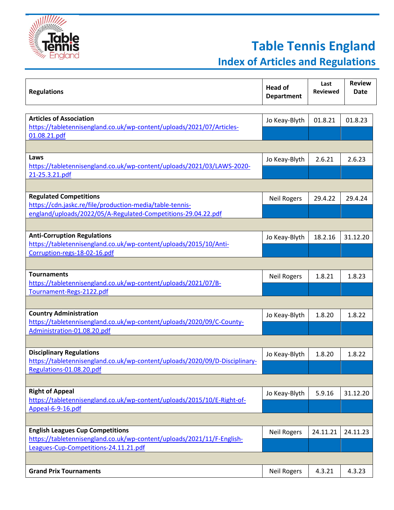

## **Table Tennis England**

**Index of Articles and Regulations**

| <b>Regulations</b>                                                                                      | <b>Head of</b><br><b>Department</b> | Last<br><b>Reviewed</b> | <b>Review</b><br><b>Date</b> |
|---------------------------------------------------------------------------------------------------------|-------------------------------------|-------------------------|------------------------------|
|                                                                                                         |                                     |                         |                              |
| <b>Articles of Association</b>                                                                          | Jo Keay-Blyth                       | 01.8.21                 | 01.8.23                      |
| https://tabletennisengland.co.uk/wp-content/uploads/2021/07/Articles-                                   |                                     |                         |                              |
| 01.08.21.pdf                                                                                            |                                     |                         |                              |
|                                                                                                         |                                     |                         |                              |
| Laws                                                                                                    | Jo Keay-Blyth                       | 2.6.21                  | 2.6.23                       |
| https://tabletennisengland.co.uk/wp-content/uploads/2021/03/LAWS-2020-                                  |                                     |                         |                              |
| 21-25.3.21.pdf                                                                                          |                                     |                         |                              |
|                                                                                                         |                                     |                         |                              |
| <b>Regulated Competitions</b>                                                                           | <b>Neil Rogers</b>                  | 29.4.22                 | 29.4.24                      |
| https://cdn.jaskc.re/file/production-media/table-tennis-                                                |                                     |                         |                              |
| england/uploads/2022/05/A-Regulated-Competitions-29.04.22.pdf                                           |                                     |                         |                              |
|                                                                                                         |                                     |                         |                              |
| <b>Anti-Corruption Regulations</b>                                                                      | Jo Keay-Blyth                       | 18.2.16                 | 31.12.20                     |
| https://tabletennisengland.co.uk/wp-content/uploads/2015/10/Anti-                                       |                                     |                         |                              |
| Corruption-regs-18-02-16.pdf                                                                            |                                     |                         |                              |
|                                                                                                         |                                     |                         |                              |
| <b>Tournaments</b>                                                                                      | <b>Neil Rogers</b>                  | 1.8.21                  | 1.8.23                       |
| https://tabletennisengland.co.uk/wp-content/uploads/2021/07/B-                                          |                                     |                         |                              |
| Tournament-Regs-2122.pdf                                                                                |                                     |                         |                              |
|                                                                                                         |                                     |                         |                              |
| <b>Country Administration</b>                                                                           | Jo Keay-Blyth                       | 1.8.20                  | 1.8.22                       |
| https://tabletennisengland.co.uk/wp-content/uploads/2020/09/C-County-                                   |                                     |                         |                              |
| Administration-01.08.20.pdf                                                                             |                                     |                         |                              |
|                                                                                                         |                                     |                         |                              |
| <b>Disciplinary Regulations</b>                                                                         | Jo Keay-Blyth                       | 1.8.20                  | 1.8.22                       |
| https://tabletennisengland.co.uk/wp-content/uploads/2020/09/D-Disciplinary-<br>Regulations-01.08.20.pdf |                                     |                         |                              |
|                                                                                                         |                                     |                         |                              |
| <b>Right of Appeal</b>                                                                                  |                                     |                         |                              |
| https://tabletennisengland.co.uk/wp-content/uploads/2015/10/E-Right-of-                                 | Jo Keay-Blyth                       | 5.9.16                  | 31.12.20                     |
| Appeal-6-9-16.pdf                                                                                       |                                     |                         |                              |
|                                                                                                         |                                     |                         |                              |
| <b>English Leagues Cup Competitions</b>                                                                 |                                     | 24.11.21                | 24.11.23                     |
| https://tabletennisengland.co.uk/wp-content/uploads/2021/11/F-English-                                  | <b>Neil Rogers</b>                  |                         |                              |
| Leagues-Cup-Competitions-24.11.21.pdf                                                                   |                                     |                         |                              |
|                                                                                                         |                                     |                         |                              |
| <b>Grand Prix Tournaments</b>                                                                           | <b>Neil Rogers</b>                  | 4.3.21                  | 4.3.23                       |
|                                                                                                         |                                     |                         |                              |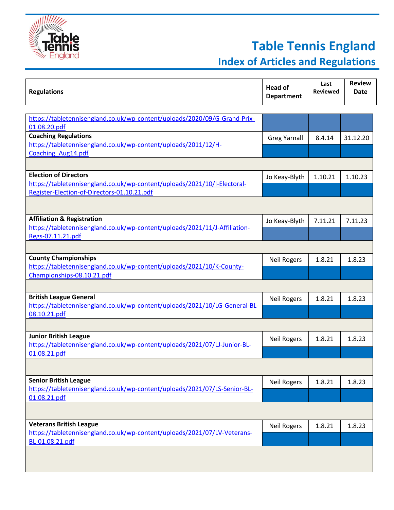

## **Table Tennis England**

## **Index of Articles and Regulations**

| <b>Regulations</b>                                                         | <b>Head of</b><br><b>Department</b> | Last<br>Reviewed | <b>Review</b><br><b>Date</b> |
|----------------------------------------------------------------------------|-------------------------------------|------------------|------------------------------|
|                                                                            |                                     |                  |                              |
| https://tabletennisengland.co.uk/wp-content/uploads/2020/09/G-Grand-Prix-  |                                     |                  |                              |
| 01.08.20.pdf                                                               |                                     |                  |                              |
| <b>Coaching Regulations</b>                                                | <b>Greg Yarnall</b>                 | 8.4.14           | 31.12.20                     |
| https://tabletennisengland.co.uk/wp-content/uploads/2011/12/H-             |                                     |                  |                              |
| Coaching Aug14.pdf                                                         |                                     |                  |                              |
|                                                                            |                                     |                  |                              |
| <b>Election of Directors</b>                                               | Jo Keay-Blyth                       | 1.10.21          | 1.10.23                      |
| https://tabletennisengland.co.uk/wp-content/uploads/2021/10/I-Electoral-   |                                     |                  |                              |
| Register-Election-of-Directors-01.10.21.pdf                                |                                     |                  |                              |
|                                                                            |                                     |                  |                              |
| <b>Affiliation &amp; Registration</b>                                      | Jo Keay-Blyth                       | 7.11.21          | 7.11.23                      |
| https://tabletennisengland.co.uk/wp-content/uploads/2021/11/J-Affiliation- |                                     |                  |                              |
| Regs-07.11.21.pdf                                                          |                                     |                  |                              |
|                                                                            |                                     |                  |                              |
| <b>County Championships</b>                                                | <b>Neil Rogers</b>                  | 1.8.21           | 1.8.23                       |
| https://tabletennisengland.co.uk/wp-content/uploads/2021/10/K-County-      |                                     |                  |                              |
| Championships-08.10.21.pdf                                                 |                                     |                  |                              |
|                                                                            |                                     |                  |                              |
| <b>British League General</b>                                              | <b>Neil Rogers</b>                  | 1.8.21           | 1.8.23                       |
| https://tabletennisengland.co.uk/wp-content/uploads/2021/10/LG-General-BL- |                                     |                  |                              |
| 08.10.21.pdf                                                               |                                     |                  |                              |
|                                                                            |                                     |                  |                              |
| <b>Junior British League</b>                                               | <b>Neil Rogers</b>                  | 1.8.21           | 1.8.23                       |
| https://tabletennisengland.co.uk/wp-content/uploads/2021/07/LJ-Junior-BL-  |                                     |                  |                              |
| 01.08.21.pdf                                                               |                                     |                  |                              |
|                                                                            |                                     |                  |                              |
| <b>Senior British League</b>                                               | <b>Neil Rogers</b>                  | 1.8.21           | 1.8.23                       |
| https://tabletennisengland.co.uk/wp-content/uploads/2021/07/LS-Senior-BL-  |                                     |                  |                              |
| 01.08.21.pdf                                                               |                                     |                  |                              |
|                                                                            |                                     |                  |                              |
| <b>Veterans British League</b>                                             | <b>Neil Rogers</b>                  | 1.8.21           | 1.8.23                       |
| https://tabletennisengland.co.uk/wp-content/uploads/2021/07/LV-Veterans-   |                                     |                  |                              |
| BL-01.08.21.pdf                                                            |                                     |                  |                              |
|                                                                            |                                     |                  |                              |
|                                                                            |                                     |                  |                              |